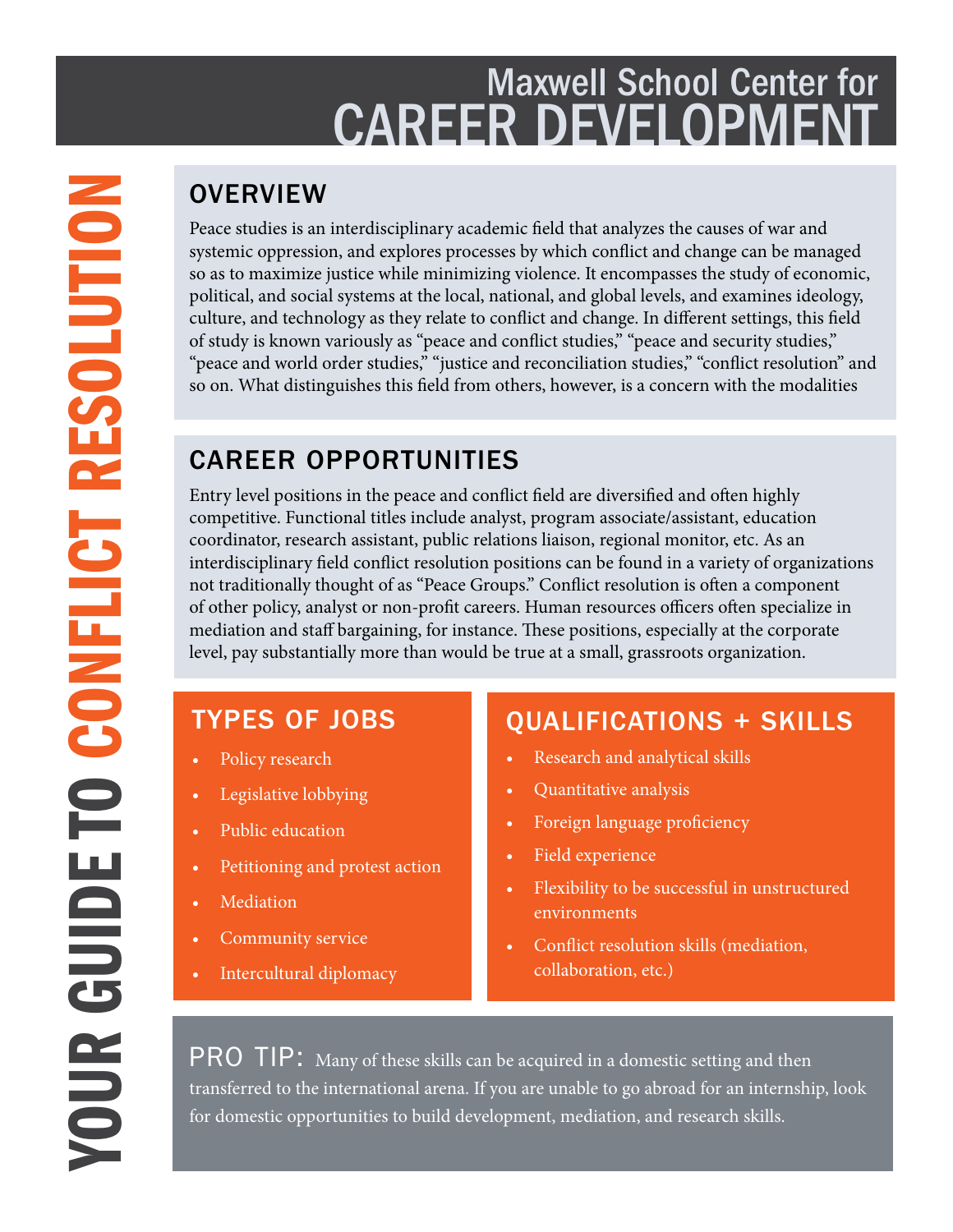## Maxwell School Center for CAREER DEVELOPMEN

Peace studies is an interdisciplinary academic field that analyzes the causes of war and systemic oppression, and explores processes by which conflict and change can be managed so as to maximize justice while minimizing violence. It encompasses the study of economic, political, and social systems at the local, national, and global levels, and examines ideology, culture, and technology as they relate to conflict and change. In different settings, this field of study is known variously as "peace and conflict studies," "peace and security studies," "peace and world order studies," "justice and reconciliation studies," "conflict resolution" and so on. What distinguishes this field from others, however, is a concern with the modalities

### CAREER OPPORTUNITIES

Entry level positions in the peace and conflict field are diversified and often highly competitive. Functional titles include analyst, program associate/assistant, education coordinator, research assistant, public relations liaison, regional monitor, etc. As an interdisciplinary field conflict resolution positions can be found in a variety of organizations not traditionally thought of as "Peace Groups." Conflict resolution is often a component of other policy, analyst or non-profit careers. Human resources officers often specialize in mediation and staff bargaining, for instance. These positions, especially at the corporate level, pay substantially more than would be true at a small, grassroots organization.

### TYPES OF JOBS

- Policy research
- Legislative lobbying
- Public education
- Petitioning and protest action
- **Mediation**
- Community service
- Intercultural diplomacy

### QUALIFICATIONS + SKILLS

- Research and analytical skills
- Quantitative analysis
- Foreign language proficiency
- Field experience
- Flexibility to be successful in unstructured environments
- Conflict resolution skills (mediation, collaboration, etc.)

PRO TIP: Many of these skills can be acquired in a domestic setting and then transferred to the international arena. If you are unable to go abroad for an internship, look for domestic opportunities to build development, mediation, and research skills.